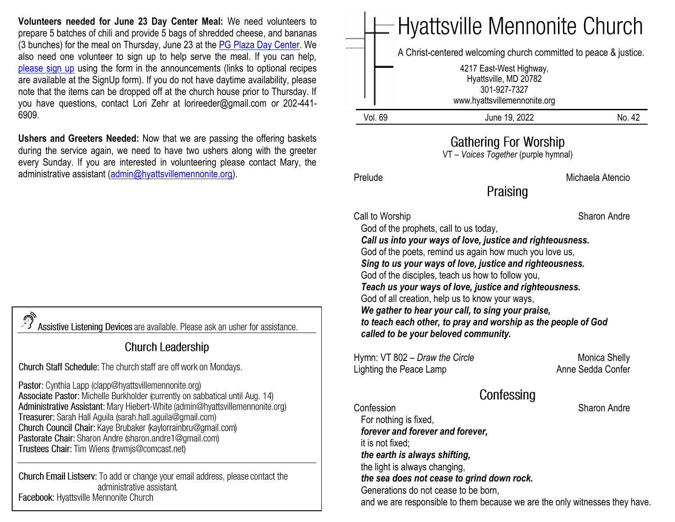**Volunteers needed for June 23 Day Center Meal:** We need volunteers to prepare 5 batches of chili and provide 5 bags of shredded cheese, and bananas (3 bunches) for the meal on Thursday, June 23 at the [PG Plaza Day Center.](https://www.congregationsunited.org/daycenter) We also need one volunteer to sign up to help serve the meal. If you can help, [please sign up](https://www.signupgenius.com/go/20f044faaac2fa2ff2-june) using the form in the announcements (links to optional recipes are available at the SignUp form). If you do not have daytime availability, please note that the items can be dropped off at the church house prior to Thursday. If you have questions, contact Lori Zehr at lorireeder@gmail.com or 202-441- 6909.

**Ushers and Greeters Needed:** Now that we are passing the offering baskets during the service again, we need to have two ushers along with the greeter every Sunday. If you are interested in volunteering please contact Mary, the administrative assistant [\(admin@hyattsvillemennonite.org\)](mailto:admin@hyattsvillemennonite.org).

Assistive Listening Devices are available. Please ask an usher for assistance.

#### **Church Leadership**

Church Staff Schedule: The church staff are off work on Mondays.

Pastor: Cynthia Lapp (clapp@hyattsvillemennonite.org) Associate Pastor: Michelle Burkholder (currently on sabbatical until Aug. 14) Administrative Assistant: Mary Hiebert-White (admin@hyattsvillemennonite.org) Treasurer: Sarah Hall Aguila (sarah.hall.aguila@gmail.com) Church Council Chair: Kaye Brubaker (kaylorrainbru@gmail.com) Pastorate Chair: Sharon Andre (sharon andre1@gmail.com) Trustees Chair: Tim Wiens (trwmjs@comcast.net)

Church Email Listserv: To add or change your email address, please contact the administrative assistant. Facebook: Hyattsville Mennonite Church



### **Gathering For Worship**

VT – *Voices Together* (purple hymnal)

Prelude **Michaela Atencio** 

Praising

Call to Worship Sharon Andre

God of the prophets, call to us today,

 *Call us into your ways of love, justice and righteousness.* God of the poets, remind us again how much you love us,

 *Sing to us your ways of love, justice and righteousness.* God of the disciples, teach us how to follow you,

 *Teach us your ways of love, justice and righteousness.*

God of all creation, help us to know your ways,

 *We gather to hear your call, to sing your praise, to teach each other, to pray and worship as the people of God* 

*called to be your beloved community.*

Hymn: VT 802 – *Draw the Circle* **Monica Shelly** Monica Shelly Lighting the Peace Lamp Anne Sedda Confer

# Confessing

Confession Sharon Andre For nothing is fixed,  *forever and forever and forever,* it is not fixed;  *the earth is always shifting,* the light is always changing,  *the sea does not cease to grind down rock.* Generations do not cease to be born, and we are responsible to them because we are the only witnesses they have.